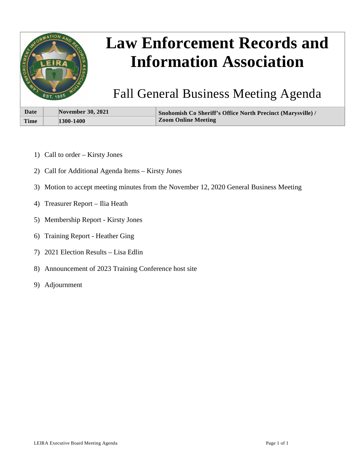

# **Law Enforcement Records and Information Association**

Fall General Business Meeting Agenda

| Date        | <b>November 30, 2021</b> | Snohomish Co Sheriff's Office North Precinct (Marysville) / |
|-------------|--------------------------|-------------------------------------------------------------|
| <b>Time</b> | 1300-1400                | <b>Zoom Online Meeting</b>                                  |

- 1) Call to order Kirsty Jones
- 2) Call for Additional Agenda Items Kirsty Jones
- 3) Motion to accept meeting minutes from the November 12, 2020 General Business Meeting
- 4) Treasurer Report Ilia Heath
- 5) Membership Report Kirsty Jones
- 6) Training Report Heather Ging
- 7) 2021 Election Results Lisa Edlin
- 8) Announcement of 2023 Training Conference host site
- 9) Adjournment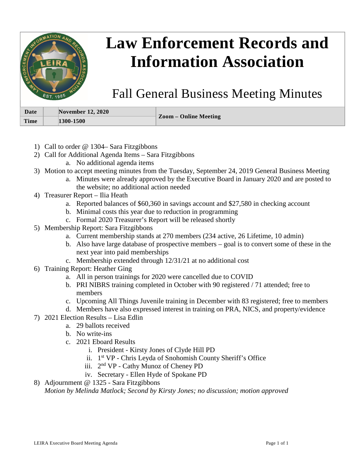

- 1) Call to order @ 1304– Sara Fitzgibbons
- 2) Call for Additional Agenda Items Sara Fitzgibbons
	- a. No additional agenda items
- 3) Motion to accept meeting minutes from the Tuesday, September 24, 2019 General Business Meeting
	- a. Minutes were already approved by the Executive Board in January 2020 and are posted to the website; no additional action needed
- 4) Treasurer Report Ilia Heath
	- a. Reported balances of \$60,360 in savings account and \$27,580 in checking account
	- b. Minimal costs this year due to reduction in programming
	- c. Formal 2020 Treasurer's Report will be released shortly
- 5) Membership Report: Sara Fitzgibbons
	- a. Current membership stands at 270 members (234 active, 26 Lifetime, 10 admin)
	- b. Also have large database of prospective members goal is to convert some of these in the next year into paid memberships
	- c. Membership extended through 12/31/21 at no additional cost
- 6) Training Report: Heather Ging
	- a. All in person trainings for 2020 were cancelled due to COVID
	- b. PRI NIBRS training completed in October with 90 registered / 71 attended; free to members
	- c. Upcoming All Things Juvenile training in December with 83 registered; free to members
	- d. Members have also expressed interest in training on PRA, NICS, and property/evidence
- 7) 2021 Election Results Lisa Edlin
	- a. 29 ballots received
		- b. No write-ins
		- c. 2021 Eboard Results
			- i. President Kirsty Jones of Clyde Hill PD
			- ii. 1st VP Chris Leyda of Snohomish County Sheriff's Office
			- iii. 2nd VP Cathy Munoz of Cheney PD
			- iv. Secretary Ellen Hyde of Spokane PD
- 8) Adjournment @ 1325 Sara Fitzgibbons *Motion by Melinda Matlock; Second by Kirsty Jones; no discussion; motion approved*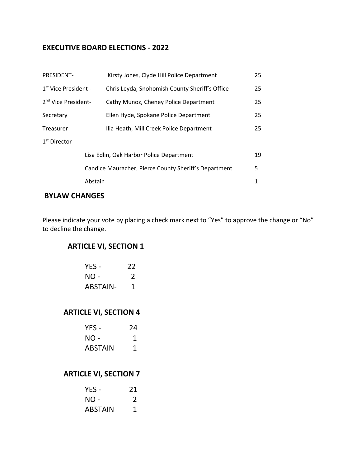### **EXECUTIVE BOARD ELECTIONS - 2022**

| PRESIDENT-                               | Kirsty Jones, Clyde Hill Police Department                 | 25 |
|------------------------------------------|------------------------------------------------------------|----|
| $1st$ Vice President -                   | Chris Leyda, Snohomish County Sheriff's Office             | 25 |
| 2 <sup>nd</sup> Vice President-          | Cathy Munoz, Cheney Police Department                      | 25 |
| Secretary                                | Ellen Hyde, Spokane Police Department                      | 25 |
| Treasurer                                | Ilia Heath, Mill Creek Police Department                   | 25 |
| 1 <sup>st</sup> Director                 |                                                            |    |
| Lisa Edlin, Oak Harbor Police Department |                                                            | 19 |
|                                          | Candice Mauracher, Pierce County Sheriff's Department<br>5 |    |
|                                          | Abstain                                                    | 1  |

## **BYLAW CHANGES**

Please indicate your vote by placing a check mark next to "Yes" to approve the change or "No" to decline the change.

## **ARTICLE VI, SECTION 1**

| YES -           | 22            |
|-----------------|---------------|
| NO -            | $\mathcal{L}$ |
| <b>ABSTAIN-</b> | 1             |

## **ARTICLE VI, SECTION 4**

| YES -          | 24 |
|----------------|----|
| NO -           | 1  |
| <b>ABSTAIN</b> | 1  |

#### **ARTICLE VI, SECTION 7**

| YES -          | 21           |
|----------------|--------------|
| NO -           | $\mathcal I$ |
| <b>ABSTAIN</b> | 1            |